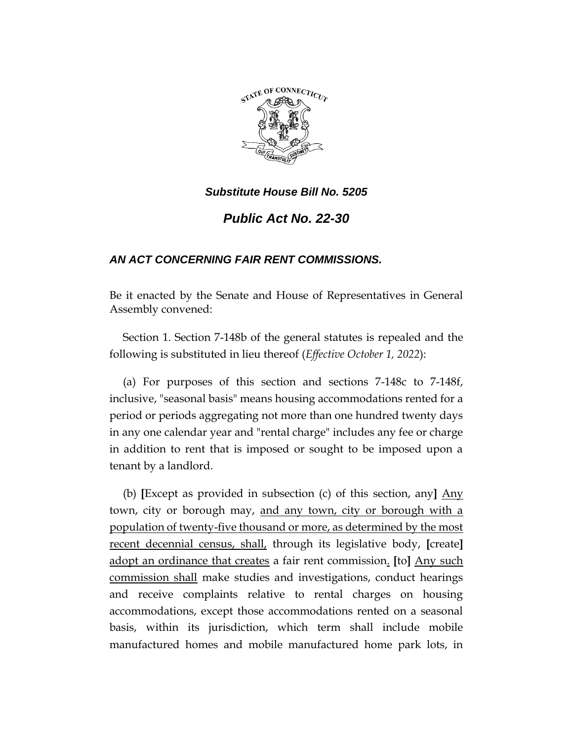

*Substitute House Bill No. 5205*

*Public Act No. 22-30*

## *AN ACT CONCERNING FAIR RENT COMMISSIONS.*

Be it enacted by the Senate and House of Representatives in General Assembly convened:

Section 1. Section 7-148b of the general statutes is repealed and the following is substituted in lieu thereof (*Effective October 1, 2022*):

(a) For purposes of this section and sections 7-148c to 7-148f, inclusive, "seasonal basis" means housing accommodations rented for a period or periods aggregating not more than one hundred twenty days in any one calendar year and "rental charge" includes any fee or charge in addition to rent that is imposed or sought to be imposed upon a tenant by a landlord.

(b) **[**Except as provided in subsection (c) of this section, any**]** Any town, city or borough may, and any town, city or borough with a population of twenty-five thousand or more, as determined by the most recent decennial census, shall, through its legislative body, **[**create**]**  adopt an ordinance that creates a fair rent commission. **[**to**]** Any such commission shall make studies and investigations, conduct hearings and receive complaints relative to rental charges on housing accommodations, except those accommodations rented on a seasonal basis, within its jurisdiction, which term shall include mobile manufactured homes and mobile manufactured home park lots, in